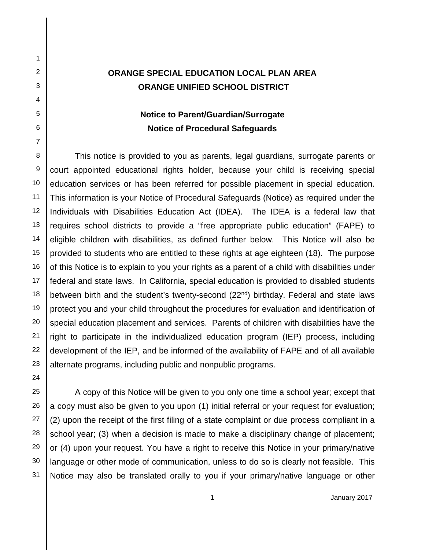# **ORANGE SPECIAL EDUCATION LOCAL PLAN AREA ORANGE UNIFIED SCHOOL DISTRICT**

# **Notice to Parent/Guardian/Surrogate Notice of Procedural Safeguards**

This notice is provided to you as parents, legal guardians, surrogate parents or court appointed educational rights holder, because your child is receiving special education services or has been referred for possible placement in special education. This information is your Notice of Procedural Safeguards (Notice) as required under the Individuals with Disabilities Education Act (IDEA). The IDEA is a federal law that requires school districts to provide a "free appropriate public education" (FAPE) to eligible children with disabilities, as defined further below. This Notice will also be provided to students who are entitled to these rights at age eighteen (18). The purpose of this Notice is to explain to you your rights as a parent of a child with disabilities under federal and state laws. In California, special education is provided to disabled students between birth and the student's twenty-second (22<sup>nd</sup>) birthday. Federal and state laws protect you and your child throughout the procedures for evaluation and identification of special education placement and services. Parents of children with disabilities have the right to participate in the individualized education program (IEP) process, including development of the IEP, and be informed of the availability of FAPE and of all available alternate programs, including public and nonpublic programs.

A copy of this Notice will be given to you only one time a school year; except that a copy must also be given to you upon (1) initial referral or your request for evaluation; (2) upon the receipt of the first filing of a state complaint or due process compliant in a school year; (3) when a decision is made to make a disciplinary change of placement; or (4) upon your request. You have a right to receive this Notice in your primary/native language or other mode of communication, unless to do so is clearly not feasible. This Notice may also be translated orally to you if your primary/native language or other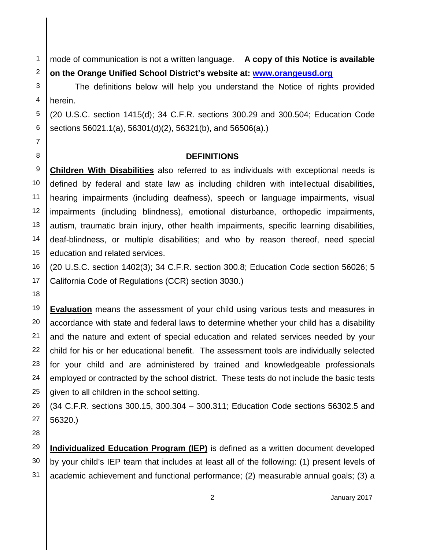mode of communication is not a written language. **A copy of this Notice is available on the Orange Unified School District's website at: [www.orangeusd.org](http://www.orangeusd.org/)**

The definitions below will help you understand the Notice of rights provided herein.

(20 U.S.C. section 1415(d); 34 C.F.R. sections 300.29 and 300.504; Education Code sections 56021.1(a), 56301(d)(2), 56321(b), and 56506(a).)

### **DEFINITIONS**

**Children With Disabilities** also referred to as individuals with exceptional needs is defined by federal and state law as including children with intellectual disabilities, hearing impairments (including deafness), speech or language impairments, visual impairments (including blindness), emotional disturbance, orthopedic impairments, autism, traumatic brain injury, other health impairments, specific learning disabilities, deaf-blindness, or multiple disabilities; and who by reason thereof, need special education and related services.

(20 U.S.C. section 1402(3); 34 C.F.R. section 300.8; Education Code section 56026; 5 California Code of Regulations (CCR) section 3030.)

**Evaluation** means the assessment of your child using various tests and measures in accordance with state and federal laws to determine whether your child has a disability and the nature and extent of special education and related services needed by your child for his or her educational benefit. The assessment tools are individually selected for your child and are administered by trained and knowledgeable professionals employed or contracted by the school district. These tests do not include the basic tests given to all children in the school setting.

(34 C.F.R. sections 300.15, 300.304 – 300.311; Education Code sections 56302.5 and 56320.)

28 29

1 2 3

4

5 6 7

8 9

10

11 12 13

14 15 16

17 18

23 24

25

26 27

30 31 **Individualized Education Program (IEP)** is defined as a written document developed by your child's IEP team that includes at least all of the following: (1) present levels of academic achievement and functional performance; (2) measurable annual goals; (3) a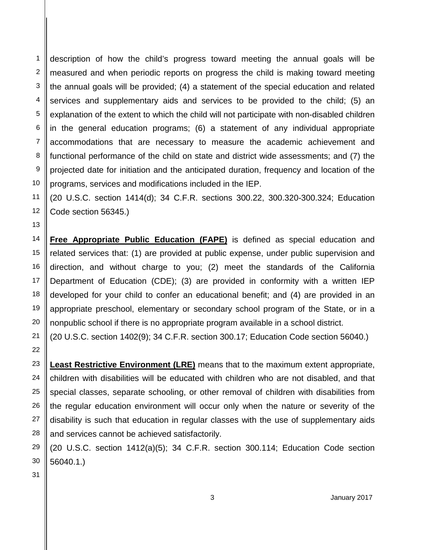1 2 3 4 5 6 7 8 9 10 description of how the child's progress toward meeting the annual goals will be measured and when periodic reports on progress the child is making toward meeting the annual goals will be provided; (4) a statement of the special education and related services and supplementary aids and services to be provided to the child; (5) an explanation of the extent to which the child will not participate with non-disabled children in the general education programs; (6) a statement of any individual appropriate accommodations that are necessary to measure the academic achievement and functional performance of the child on state and district wide assessments; and (7) the projected date for initiation and the anticipated duration, frequency and location of the programs, services and modifications included in the IEP.

(20 U.S.C. section 1414(d); 34 C.F.R. sections 300.22, 300.320-300.324; Education Code section 56345.)

**Free Appropriate Public Education (FAPE)** is defined as special education and related services that: (1) are provided at public expense, under public supervision and direction, and without charge to you; (2) meet the standards of the California Department of Education (CDE); (3) are provided in conformity with a written IEP developed for your child to confer an educational benefit; and (4) are provided in an appropriate preschool, elementary or secondary school program of the State, or in a nonpublic school if there is no appropriate program available in a school district.

(20 U.S.C. section 1402(9); 34 C.F.R. section 300.17; Education Code section 56040.)

**Least Restrictive Environment (LRE)** means that to the maximum extent appropriate, children with disabilities will be educated with children who are not disabled, and that special classes, separate schooling, or other removal of children with disabilities from the regular education environment will occur only when the nature or severity of the disability is such that education in regular classes with the use of supplementary aids and services cannot be achieved satisfactorily.

(20 U.S.C. section 1412(a)(5); 34 C.F.R. section 300.114; Education Code section 56040.1.)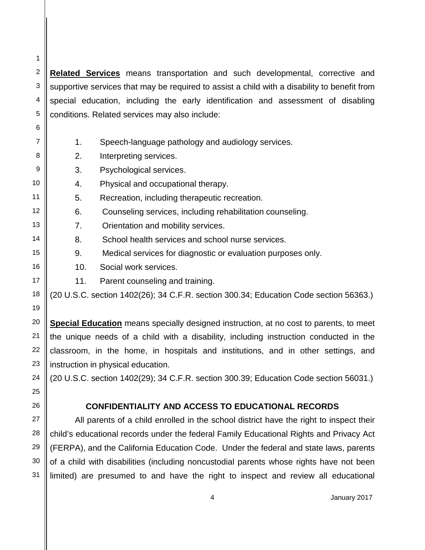**Related Services** means transportation and such developmental, corrective and supportive services that may be required to assist a child with a disability to benefit from special education, including the early identification and assessment of disabling conditions. Related services may also include:

- 1. Speech-language pathology and audiology services.
- 2. Interpreting services.

1

2 3

4

5 6 7

8 9

10 11 12

13 14

15 16

17 18 19

20 21 22

23 24 25

26 27

28

29 30

31

- 3. Psychological services.
- 4. Physical and occupational therapy.
- 5. Recreation, including therapeutic recreation.
- 6. Counseling services, including rehabilitation counseling.
	- 7. Orientation and mobility services.
	- 8. School health services and school nurse services.
	- 9. Medical services for diagnostic or evaluation purposes only.
		- 10. Social work services.
	- 11. Parent counseling and training.

(20 U.S.C. section 1402(26); 34 C.F.R. section 300.34; Education Code section 56363.)

**Special Education** means specially designed instruction, at no cost to parents, to meet the unique needs of a child with a disability, including instruction conducted in the classroom, in the home, in hospitals and institutions, and in other settings, and instruction in physical education.

(20 U.S.C. section 1402(29); 34 C.F.R. section 300.39; Education Code section 56031.)

## **CONFIDENTIALITY AND ACCESS TO EDUCATIONAL RECORDS**

All parents of a child enrolled in the school district have the right to inspect their child's educational records under the federal Family Educational Rights and Privacy Act (FERPA), and the California Education Code. Under the federal and state laws, parents of a child with disabilities (including noncustodial parents whose rights have not been limited) are presumed to and have the right to inspect and review all educational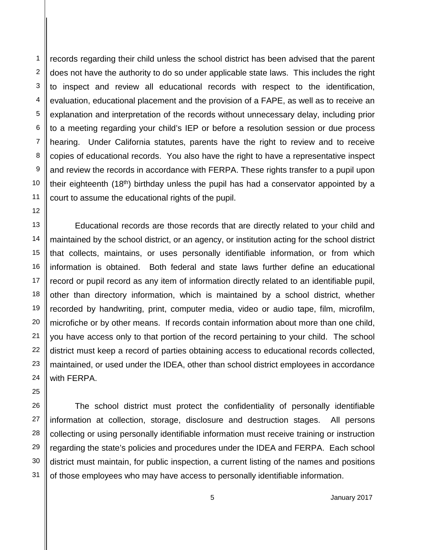records regarding their child unless the school district has been advised that the parent does not have the authority to do so under applicable state laws. This includes the right to inspect and review all educational records with respect to the identification, evaluation, educational placement and the provision of a FAPE, as well as to receive an explanation and interpretation of the records without unnecessary delay, including prior to a meeting regarding your child's IEP or before a resolution session or due process hearing. Under California statutes, parents have the right to review and to receive copies of educational records. You also have the right to have a representative inspect and review the records in accordance with FERPA. These rights transfer to a pupil upon their eighteenth (18<sup>th</sup>) birthday unless the pupil has had a conservator appointed by a court to assume the educational rights of the pupil.

Educational records are those records that are directly related to your child and maintained by the school district, or an agency, or institution acting for the school district that collects, maintains, or uses personally identifiable information, or from which information is obtained. Both federal and state laws further define an educational record or pupil record as any item of information directly related to an identifiable pupil, other than directory information, which is maintained by a school district, whether recorded by handwriting, print, computer media, video or audio tape, film, microfilm, microfiche or by other means. If records contain information about more than one child, you have access only to that portion of the record pertaining to your child. The school district must keep a record of parties obtaining access to educational records collected, maintained, or used under the IDEA, other than school district employees in accordance with FERPA.

The school district must protect the confidentiality of personally identifiable information at collection, storage, disclosure and destruction stages. All persons collecting or using personally identifiable information must receive training or instruction regarding the state's policies and procedures under the IDEA and FERPA. Each school district must maintain, for public inspection, a current listing of the names and positions of those employees who may have access to personally identifiable information.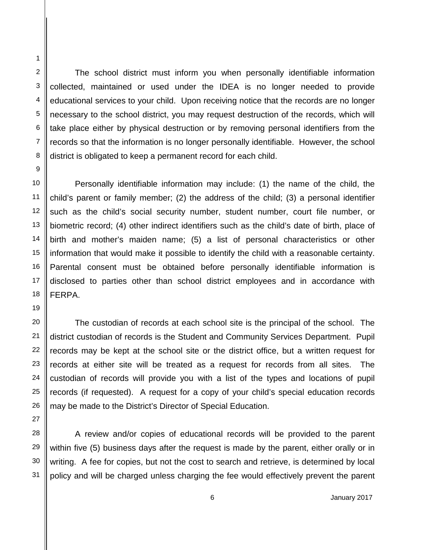1

2 3

4

5

The school district must inform you when personally identifiable information collected, maintained or used under the IDEA is no longer needed to provide educational services to your child. Upon receiving notice that the records are no longer necessary to the school district, you may request destruction of the records, which will take place either by physical destruction or by removing personal identifiers from the records so that the information is no longer personally identifiable. However, the school district is obligated to keep a permanent record for each child.

Personally identifiable information may include: (1) the name of the child, the child's parent or family member; (2) the address of the child; (3) a personal identifier such as the child's social security number, student number, court file number, or biometric record; (4) other indirect identifiers such as the child's date of birth, place of birth and mother's maiden name; (5) a list of personal characteristics or other information that would make it possible to identify the child with a reasonable certainty. Parental consent must be obtained before personally identifiable information is disclosed to parties other than school district employees and in accordance with FERPA.

The custodian of records at each school site is the principal of the school. The district custodian of records is the Student and Community Services Department. Pupil records may be kept at the school site or the district office, but a written request for records at either site will be treated as a request for records from all sites. The custodian of records will provide you with a list of the types and locations of pupil records (if requested). A request for a copy of your child's special education records may be made to the District's Director of Special Education.

A review and/or copies of educational records will be provided to the parent within five (5) business days after the request is made by the parent, either orally or in writing. A fee for copies, but not the cost to search and retrieve, is determined by local policy and will be charged unless charging the fee would effectively prevent the parent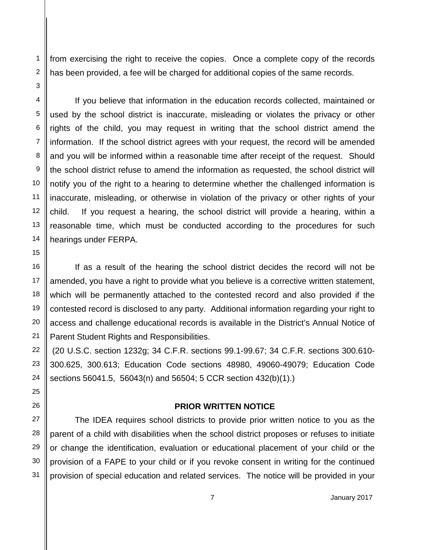from exercising the right to receive the copies. Once a complete copy of the records has been provided, a fee will be charged for additional copies of the same records.

If you believe that information in the education records collected, maintained or used by the school district is inaccurate, misleading or violates the privacy or other rights of the child, you may request in writing that the school district amend the information. If the school district agrees with your request, the record will be amended and you will be informed within a reasonable time after receipt of the request. Should the school district refuse to amend the information as requested, the school district will notify you of the right to a hearing to determine whether the challenged information is inaccurate, misleading, or otherwise in violation of the privacy or other rights of your child. If you request a hearing, the school district will provide a hearing, within a reasonable time, which must be conducted according to the procedures for such hearings under FERPA.

If as a result of the hearing the school district decides the record will not be amended, you have a right to provide what you believe is a corrective written statement, which will be permanently attached to the contested record and also provided if the contested record is disclosed to any party. Additional information regarding your right to access and challenge educational records is available in the District's Annual Notice of Parent Student Rights and Responsibilities.

(20 U.S.C. section 1232g; 34 C.F.R. sections 99.1-99.67; 34 C.F.R. sections 300.610- 300.625, 300.613; Education Code sections 48980, 49060-49079; Education Code sections 56041.5, 56043(n) and 56504; 5 CCR section 432(b)(1).)

### **PRIOR WRITTEN NOTICE**

The IDEA requires school districts to provide prior written notice to you as the parent of a child with disabilities when the school district proposes or refuses to initiate or change the identification, evaluation or educational placement of your child or the provision of a FAPE to your child or if you revoke consent in writing for the continued provision of special education and related services. The notice will be provided in your

31

1 2 3

4

5 6 7

8 9

10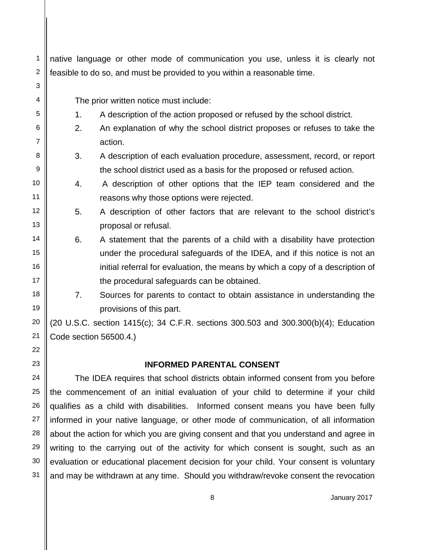| 1              | native language or other mode of communication you use, unless it is clearly not   |                                                                                                                  |
|----------------|------------------------------------------------------------------------------------|------------------------------------------------------------------------------------------------------------------|
| $\overline{2}$ | feasible to do so, and must be provided to you within a reasonable time.           |                                                                                                                  |
| 3              |                                                                                    |                                                                                                                  |
| 4              |                                                                                    | The prior written notice must include:                                                                           |
| 5              | 1.                                                                                 | A description of the action proposed or refused by the school district.                                          |
| 6              | 2.                                                                                 | An explanation of why the school district proposes or refuses to take the                                        |
| $\overline{7}$ |                                                                                    | action.                                                                                                          |
| 8              | 3.                                                                                 | A description of each evaluation procedure, assessment, record, or report                                        |
| 9              |                                                                                    | the school district used as a basis for the proposed or refused action.                                          |
| 10             | 4.                                                                                 | A description of other options that the IEP team considered and the                                              |
| 11             |                                                                                    | reasons why those options were rejected.                                                                         |
| 12             | 5.                                                                                 | A description of other factors that are relevant to the school district's                                        |
| 13             |                                                                                    | proposal or refusal.                                                                                             |
| 14             | 6.                                                                                 | A statement that the parents of a child with a disability have protection                                        |
| 15             |                                                                                    | under the procedural safeguards of the IDEA, and if this notice is not an                                        |
| 16             |                                                                                    | initial referral for evaluation, the means by which a copy of a description of                                   |
| 17             |                                                                                    | the procedural safeguards can be obtained.                                                                       |
| 18             | 7.                                                                                 | Sources for parents to contact to obtain assistance in understanding the                                         |
| 19             |                                                                                    | provisions of this part.                                                                                         |
| 20             |                                                                                    | $(20 \text{ U.S.C. section } 1415(c); 34 \text{ C.F.R. sections } 300.503 \text{ and } 300.300(b)(4);$ Education |
| 21             | Code section 56500.4.)                                                             |                                                                                                                  |
| 22             |                                                                                    |                                                                                                                  |
| 23             |                                                                                    | <b>INFORMED PARENTAL CONSENT</b>                                                                                 |
| 24             | The IDEA requires that school districts obtain informed consent from you before    |                                                                                                                  |
| 25             | the commencement of an initial evaluation of your child to determine if your child |                                                                                                                  |
| 26             |                                                                                    | qualifies as a child with disabilities. Informed consent means you have been fully                               |

27 28 29 30 31 informed in your native language, or other mode of communication, of all information about the action for which you are giving consent and that you understand and agree in writing to the carrying out of the activity for which consent is sought, such as an evaluation or educational placement decision for your child. Your consent is voluntary and may be withdrawn at any time. Should you withdraw/revoke consent the revocation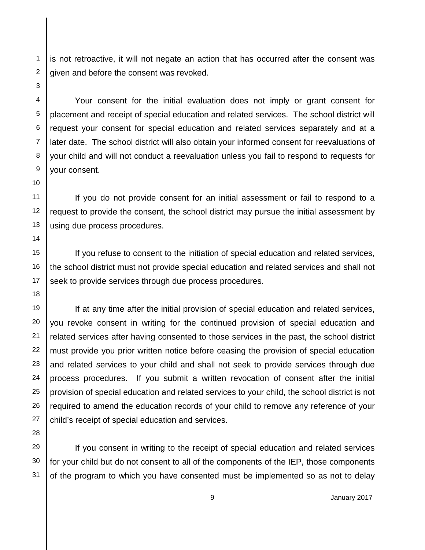is not retroactive, it will not negate an action that has occurred after the consent was given and before the consent was revoked.

Your consent for the initial evaluation does not imply or grant consent for placement and receipt of special education and related services. The school district will request your consent for special education and related services separately and at a later date. The school district will also obtain your informed consent for reevaluations of your child and will not conduct a reevaluation unless you fail to respond to requests for your consent.

If you do not provide consent for an initial assessment or fail to respond to a request to provide the consent, the school district may pursue the initial assessment by using due process procedures.

If you refuse to consent to the initiation of special education and related services, the school district must not provide special education and related services and shall not seek to provide services through due process procedures.

If at any time after the initial provision of special education and related services, you revoke consent in writing for the continued provision of special education and related services after having consented to those services in the past, the school district must provide you prior written notice before ceasing the provision of special education and related services to your child and shall not seek to provide services through due process procedures. If you submit a written revocation of consent after the initial provision of special education and related services to your child, the school district is not required to amend the education records of your child to remove any reference of your child's receipt of special education and services.

If you consent in writing to the receipt of special education and related services for your child but do not consent to all of the components of the IEP, those components of the program to which you have consented must be implemented so as not to delay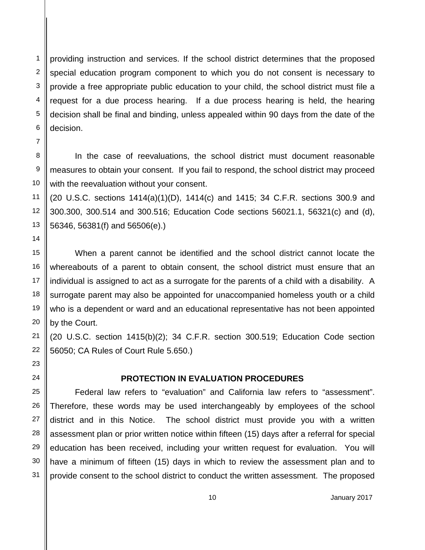providing instruction and services. If the school district determines that the proposed special education program component to which you do not consent is necessary to provide a free appropriate public education to your child, the school district must file a request for a due process hearing. If a due process hearing is held, the hearing decision shall be final and binding, unless appealed within 90 days from the date of the decision.

In the case of reevaluations, the school district must document reasonable measures to obtain your consent. If you fail to respond, the school district may proceed with the reevaluation without your consent.

(20 U.S.C. sections 1414(a)(1)(D), 1414(c) and 1415; 34 C.F.R. sections 300.9 and 300.300, 300.514 and 300.516; Education Code sections 56021.1, 56321(c) and (d), 56346, 56381(f) and 56506(e).)

When a parent cannot be identified and the school district cannot locate the whereabouts of a parent to obtain consent, the school district must ensure that an individual is assigned to act as a surrogate for the parents of a child with a disability. A surrogate parent may also be appointed for unaccompanied homeless youth or a child who is a dependent or ward and an educational representative has not been appointed by the Court.

(20 U.S.C. section 1415(b)(2); 34 C.F.R. section 300.519; Education Code section 56050; CA Rules of Court Rule 5.650.)

### **PROTECTION IN EVALUATION PROCEDURES**

Federal law refers to "evaluation" and California law refers to "assessment". Therefore, these words may be used interchangeably by employees of the school district and in this Notice. The school district must provide you with a written assessment plan or prior written notice within fifteen (15) days after a referral for special education has been received, including your written request for evaluation. You will have a minimum of fifteen (15) days in which to review the assessment plan and to provide consent to the school district to conduct the written assessment. The proposed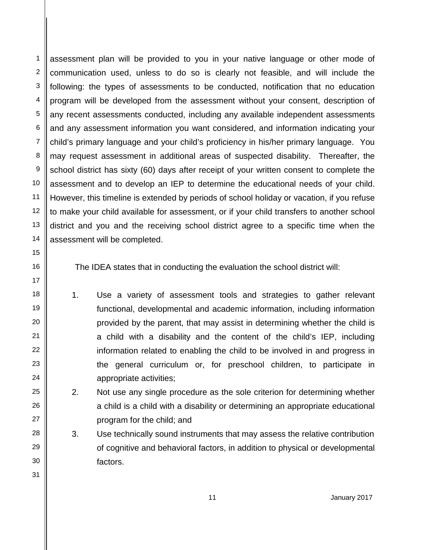assessment plan will be provided to you in your native language or other mode of communication used, unless to do so is clearly not feasible, and will include the following: the types of assessments to be conducted, notification that no education program will be developed from the assessment without your consent, description of any recent assessments conducted, including any available independent assessments and any assessment information you want considered, and information indicating your child's primary language and your child's proficiency in his/her primary language. You may request assessment in additional areas of suspected disability. Thereafter, the school district has sixty (60) days after receipt of your written consent to complete the assessment and to develop an IEP to determine the educational needs of your child. However, this timeline is extended by periods of school holiday or vacation, if you refuse to make your child available for assessment, or if your child transfers to another school district and you and the receiving school district agree to a specific time when the assessment will be completed.

The IDEA states that in conducting the evaluation the school district will:

- 1. Use a variety of assessment tools and strategies to gather relevant functional, developmental and academic information, including information provided by the parent, that may assist in determining whether the child is a child with a disability and the content of the child's IEP, including information related to enabling the child to be involved in and progress in the general curriculum or, for preschool children, to participate in appropriate activities;
	- 2. Not use any single procedure as the sole criterion for determining whether a child is a child with a disability or determining an appropriate educational program for the child; and
	- 3. Use technically sound instruments that may assess the relative contribution of cognitive and behavioral factors, in addition to physical or developmental factors.

5 6 7

8 9

10

11 12 13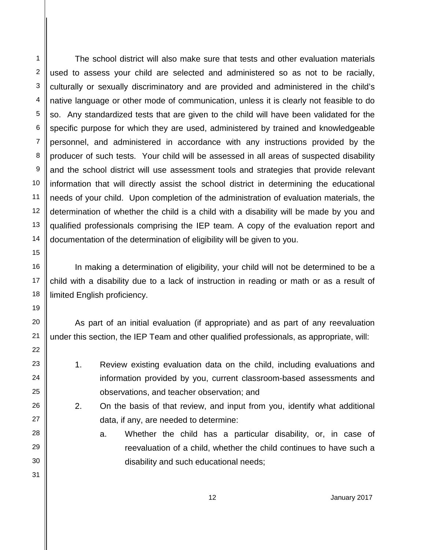The school district will also make sure that tests and other evaluation materials used to assess your child are selected and administered so as not to be racially, culturally or sexually discriminatory and are provided and administered in the child's native language or other mode of communication, unless it is clearly not feasible to do so. Any standardized tests that are given to the child will have been validated for the specific purpose for which they are used, administered by trained and knowledgeable personnel, and administered in accordance with any instructions provided by the producer of such tests. Your child will be assessed in all areas of suspected disability and the school district will use assessment tools and strategies that provide relevant information that will directly assist the school district in determining the educational needs of your child. Upon completion of the administration of evaluation materials, the determination of whether the child is a child with a disability will be made by you and qualified professionals comprising the IEP team. A copy of the evaluation report and documentation of the determination of eligibility will be given to you.

In making a determination of eligibility, your child will not be determined to be a child with a disability due to a lack of instruction in reading or math or as a result of limited English proficiency.

As part of an initial evaluation (if appropriate) and as part of any reevaluation under this section, the IEP Team and other qualified professionals, as appropriate, will:

- 1. Review existing evaluation data on the child, including evaluations and information provided by you, current classroom-based assessments and observations, and teacher observation; and
	- 2. On the basis of that review, and input from you, identify what additional data, if any, are needed to determine:
		- a. Whether the child has a particular disability, or, in case of reevaluation of a child, whether the child continues to have such a disability and such educational needs;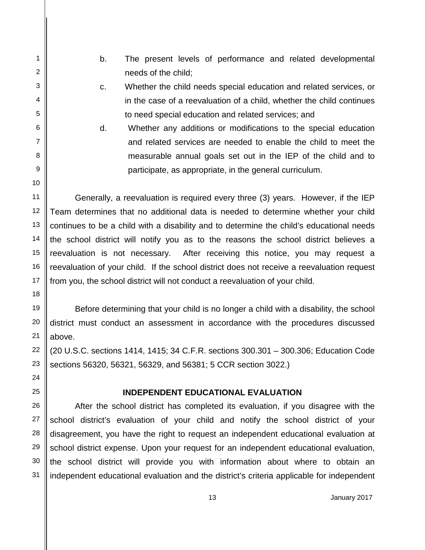b. The present levels of performance and related developmental needs of the child;

1 2 3

4

5 6 7

8 9

10

11

12 13 14

15 16

17 18

19

20 21

22

23 24

25

26

27 28

29 30

31

- c. Whether the child needs special education and related services, or in the case of a reevaluation of a child, whether the child continues to need special education and related services; and
- d. Whether any additions or modifications to the special education and related services are needed to enable the child to meet the measurable annual goals set out in the IEP of the child and to participate, as appropriate, in the general curriculum.

Generally, a reevaluation is required every three (3) years. However, if the IEP Team determines that no additional data is needed to determine whether your child continues to be a child with a disability and to determine the child's educational needs the school district will notify you as to the reasons the school district believes a reevaluation is not necessary. After receiving this notice, you may request a reevaluation of your child. If the school district does not receive a reevaluation request from you, the school district will not conduct a reevaluation of your child.

Before determining that your child is no longer a child with a disability, the school district must conduct an assessment in accordance with the procedures discussed above.

(20 U.S.C. sections 1414, 1415; 34 C.F.R. sections 300.301 – 300.306; Education Code sections 56320, 56321, 56329, and 56381; 5 CCR section 3022.)

### **INDEPENDENT EDUCATIONAL EVALUATION**

After the school district has completed its evaluation, if you disagree with the school district's evaluation of your child and notify the school district of your disagreement, you have the right to request an independent educational evaluation at school district expense. Upon your request for an independent educational evaluation, the school district will provide you with information about where to obtain an independent educational evaluation and the district's criteria applicable for independent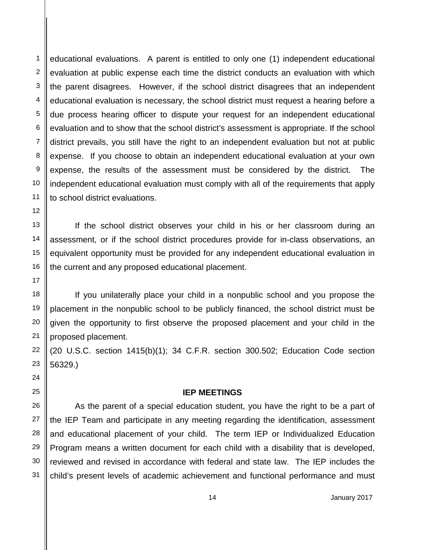educational evaluations. A parent is entitled to only one (1) independent educational evaluation at public expense each time the district conducts an evaluation with which the parent disagrees. However, if the school district disagrees that an independent educational evaluation is necessary, the school district must request a hearing before a due process hearing officer to dispute your request for an independent educational evaluation and to show that the school district's assessment is appropriate. If the school district prevails, you still have the right to an independent evaluation but not at public expense. If you choose to obtain an independent educational evaluation at your own expense, the results of the assessment must be considered by the district. The independent educational evaluation must comply with all of the requirements that apply to school district evaluations.

If the school district observes your child in his or her classroom during an assessment, or if the school district procedures provide for in-class observations, an equivalent opportunity must be provided for any independent educational evaluation in the current and any proposed educational placement.

If you unilaterally place your child in a nonpublic school and you propose the placement in the nonpublic school to be publicly financed, the school district must be given the opportunity to first observe the proposed placement and your child in the proposed placement.

(20 U.S.C. section 1415(b)(1); 34 C.F.R. section 300.502; Education Code section 56329.)

#### **IEP MEETINGS**

As the parent of a special education student, you have the right to be a part of the IEP Team and participate in any meeting regarding the identification, assessment and educational placement of your child. The term IEP or Individualized Education Program means a written document for each child with a disability that is developed, reviewed and revised in accordance with federal and state law. The IEP includes the child's present levels of academic achievement and functional performance and must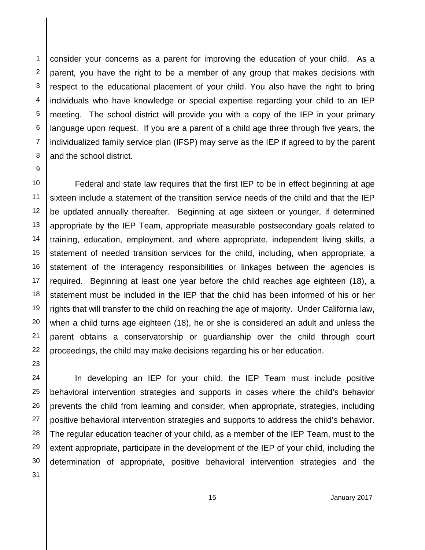consider your concerns as a parent for improving the education of your child. As a parent, you have the right to be a member of any group that makes decisions with respect to the educational placement of your child. You also have the right to bring individuals who have knowledge or special expertise regarding your child to an IEP meeting. The school district will provide you with a copy of the IEP in your primary language upon request. If you are a parent of a child age three through five years, the individualized family service plan (IFSP) may serve as the IEP if agreed to by the parent and the school district.

Federal and state law requires that the first IEP to be in effect beginning at age sixteen include a statement of the transition service needs of the child and that the IEP be updated annually thereafter. Beginning at age sixteen or younger, if determined appropriate by the IEP Team, appropriate measurable postsecondary goals related to training, education, employment, and where appropriate, independent living skills, a statement of needed transition services for the child, including, when appropriate, a statement of the interagency responsibilities or linkages between the agencies is required. Beginning at least one year before the child reaches age eighteen (18), a statement must be included in the IEP that the child has been informed of his or her rights that will transfer to the child on reaching the age of majority. Under California law, when a child turns age eighteen (18), he or she is considered an adult and unless the parent obtains a conservatorship or guardianship over the child through court proceedings, the child may make decisions regarding his or her education.

In developing an IEP for your child, the IEP Team must include positive behavioral intervention strategies and supports in cases where the child's behavior prevents the child from learning and consider, when appropriate, strategies, including positive behavioral intervention strategies and supports to address the child's behavior. The regular education teacher of your child, as a member of the IEP Team, must to the extent appropriate, participate in the development of the IEP of your child, including the determination of appropriate, positive behavioral intervention strategies and the

5 6 7

8 9 10

11 12 13

14 15 16

17 18 19

20 21

22

23 24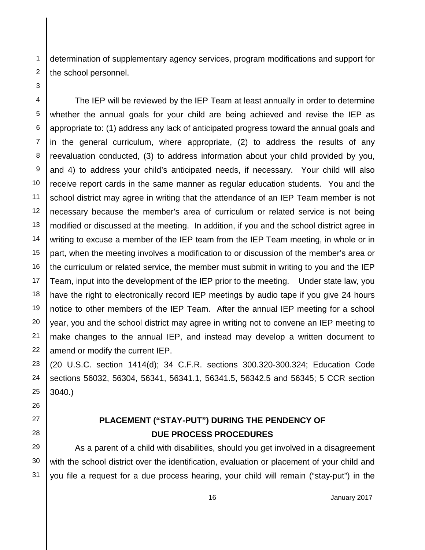determination of supplementary agency services, program modifications and support for the school personnel.

The IEP will be reviewed by the IEP Team at least annually in order to determine whether the annual goals for your child are being achieved and revise the IEP as appropriate to: (1) address any lack of anticipated progress toward the annual goals and in the general curriculum, where appropriate, (2) to address the results of any reevaluation conducted, (3) to address information about your child provided by you, and 4) to address your child's anticipated needs, if necessary. Your child will also receive report cards in the same manner as regular education students. You and the school district may agree in writing that the attendance of an IEP Team member is not necessary because the member's area of curriculum or related service is not being modified or discussed at the meeting. In addition, if you and the school district agree in writing to excuse a member of the IEP team from the IEP Team meeting, in whole or in part, when the meeting involves a modification to or discussion of the member's area or the curriculum or related service, the member must submit in writing to you and the IEP Team, input into the development of the IEP prior to the meeting. Under state law, you have the right to electronically record IEP meetings by audio tape if you give 24 hours notice to other members of the IEP Team. After the annual IEP meeting for a school year, you and the school district may agree in writing not to convene an IEP meeting to make changes to the annual IEP, and instead may develop a written document to amend or modify the current IEP.

(20 U.S.C. section 1414(d); 34 C.F.R. sections 300.320-300.324; Education Code sections 56032, 56304, 56341, 56341.1, 56341.5, 56342.5 and 56345; 5 CCR section 3040.)

# **PLACEMENT ("STAY-PUT") DURING THE PENDENCY OF DUE PROCESS PROCEDURES**

As a parent of a child with disabilities, should you get involved in a disagreement with the school district over the identification, evaluation or placement of your child and you file a request for a due process hearing, your child will remain ("stay-put") in the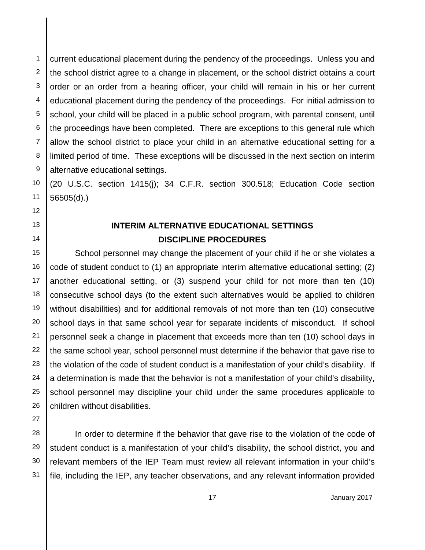1 current educational placement during the pendency of the proceedings. Unless you and the school district agree to a change in placement, or the school district obtains a court order or an order from a hearing officer, your child will remain in his or her current educational placement during the pendency of the proceedings. For initial admission to school, your child will be placed in a public school program, with parental consent, until the proceedings have been completed. There are exceptions to this general rule which allow the school district to place your child in an alternative educational setting for a limited period of time. These exceptions will be discussed in the next section on interim alternative educational settings.

(20 U.S.C. section 1415(j); 34 C.F.R. section 300.518; Education Code section 56505(d).)

# **INTERIM ALTERNATIVE EDUCATIONAL SETTINGS DISCIPLINE PROCEDURES**

School personnel may change the placement of your child if he or she violates a code of student conduct to (1) an appropriate interim alternative educational setting; (2) another educational setting, or (3) suspend your child for not more than ten (10) consecutive school days (to the extent such alternatives would be applied to children without disabilities) and for additional removals of not more than ten (10) consecutive school days in that same school year for separate incidents of misconduct. If school personnel seek a change in placement that exceeds more than ten (10) school days in the same school year, school personnel must determine if the behavior that gave rise to the violation of the code of student conduct is a manifestation of your child's disability. If a determination is made that the behavior is not a manifestation of your child's disability, school personnel may discipline your child under the same procedures applicable to children without disabilities.

In order to determine if the behavior that gave rise to the violation of the code of student conduct is a manifestation of your child's disability, the school district, you and relevant members of the IEP Team must review all relevant information in your child's file, including the IEP, any teacher observations, and any relevant information provided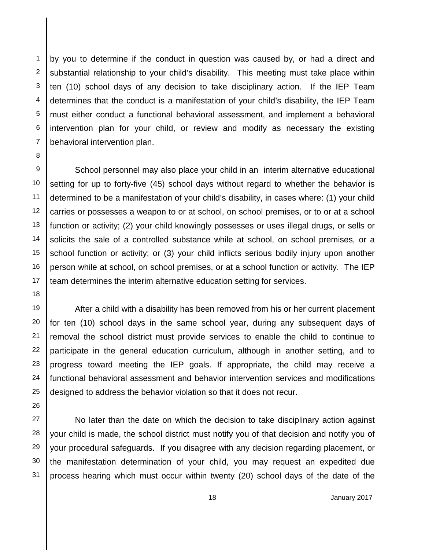by you to determine if the conduct in question was caused by, or had a direct and substantial relationship to your child's disability. This meeting must take place within ten (10) school days of any decision to take disciplinary action. If the IEP Team determines that the conduct is a manifestation of your child's disability, the IEP Team must either conduct a functional behavioral assessment, and implement a behavioral intervention plan for your child, or review and modify as necessary the existing behavioral intervention plan.

School personnel may also place your child in an interim alternative educational setting for up to forty-five (45) school days without regard to whether the behavior is determined to be a manifestation of your child's disability, in cases where: (1) your child carries or possesses a weapon to or at school, on school premises, or to or at a school function or activity; (2) your child knowingly possesses or uses illegal drugs, or sells or solicits the sale of a controlled substance while at school, on school premises, or a school function or activity; or (3) your child inflicts serious bodily injury upon another person while at school, on school premises, or at a school function or activity. The IEP team determines the interim alternative education setting for services.

After a child with a disability has been removed from his or her current placement for ten (10) school days in the same school year, during any subsequent days of removal the school district must provide services to enable the child to continue to participate in the general education curriculum, although in another setting, and to progress toward meeting the IEP goals. If appropriate, the child may receive a functional behavioral assessment and behavior intervention services and modifications designed to address the behavior violation so that it does not recur.

No later than the date on which the decision to take disciplinary action against your child is made, the school district must notify you of that decision and notify you of your procedural safeguards. If you disagree with any decision regarding placement, or the manifestation determination of your child, you may request an expedited due process hearing which must occur within twenty (20) school days of the date of the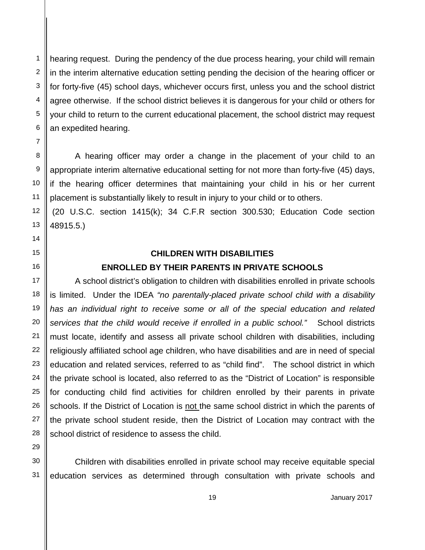hearing request. During the pendency of the due process hearing, your child will remain in the interim alternative education setting pending the decision of the hearing officer or for forty-five (45) school days, whichever occurs first, unless you and the school district agree otherwise. If the school district believes it is dangerous for your child or others for your child to return to the current educational placement, the school district may request an expedited hearing.

A hearing officer may order a change in the placement of your child to an appropriate interim alternative educational setting for not more than forty-five (45) days, if the hearing officer determines that maintaining your child in his or her current placement is substantially likely to result in injury to your child or to others.

(20 U.S.C. section 1415(k); 34 C.F.R section 300.530; Education Code section 48915.5.)

#### **CHILDREN WITH DISABILITIES**

### **ENROLLED BY THEIR PARENTS IN PRIVATE SCHOOLS**

A school district's obligation to children with disabilities enrolled in private schools is limited. Under the IDEA *"no parentally-placed private school child with a disability*  has an individual right to receive some or all of the special education and related *services that the child would receive if enrolled in a public school."* School districts must locate, identify and assess all private school children with disabilities, including religiously affiliated school age children, who have disabilities and are in need of special education and related services, referred to as "child find". The school district in which the private school is located, also referred to as the "District of Location" is responsible for conducting child find activities for children enrolled by their parents in private schools. If the District of Location is not the same school district in which the parents of the private school student reside, then the District of Location may contract with the school district of residence to assess the child.

30 31

29

1 2 3

4

5 6 7

8 9

10

15

16 17 18

23 24

25

26

27 28

> Children with disabilities enrolled in private school may receive equitable special education services as determined through consultation with private schools and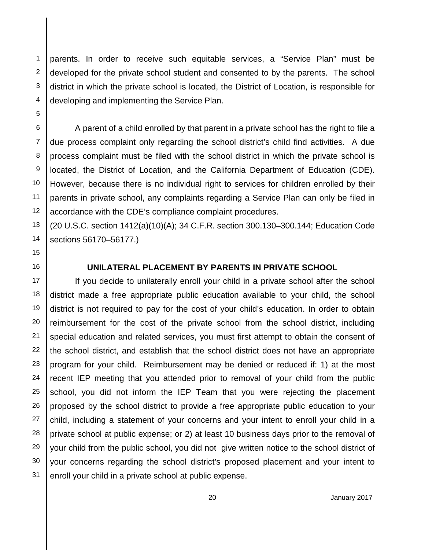parents. In order to receive such equitable services, a "Service Plan" must be developed for the private school student and consented to by the parents. The school district in which the private school is located, the District of Location, is responsible for developing and implementing the Service Plan.

A parent of a child enrolled by that parent in a private school has the right to file a due process complaint only regarding the school district's child find activities. A due process complaint must be filed with the school district in which the private school is located, the District of Location, and the California Department of Education (CDE). However, because there is no individual right to services for children enrolled by their parents in private school, any complaints regarding a Service Plan can only be filed in accordance with the CDE's compliance complaint procedures.

(20 U.S.C. section 1412(a)(10)(A); 34 C.F.R. section 300.130–300.144; Education Code sections 56170–56177.)

#### **UNILATERAL PLACEMENT BY PARENTS IN PRIVATE SCHOOL**

If you decide to unilaterally enroll your child in a private school after the school district made a free appropriate public education available to your child, the school district is not required to pay for the cost of your child's education. In order to obtain reimbursement for the cost of the private school from the school district, including special education and related services, you must first attempt to obtain the consent of the school district, and establish that the school district does not have an appropriate program for your child. Reimbursement may be denied or reduced if: 1) at the most recent IEP meeting that you attended prior to removal of your child from the public school, you did not inform the IEP Team that you were rejecting the placement proposed by the school district to provide a free appropriate public education to your child, including a statement of your concerns and your intent to enroll your child in a private school at public expense; or 2) at least 10 business days prior to the removal of your child from the public school, you did not give written notice to the school district of your concerns regarding the school district's proposed placement and your intent to enroll your child in a private school at public expense.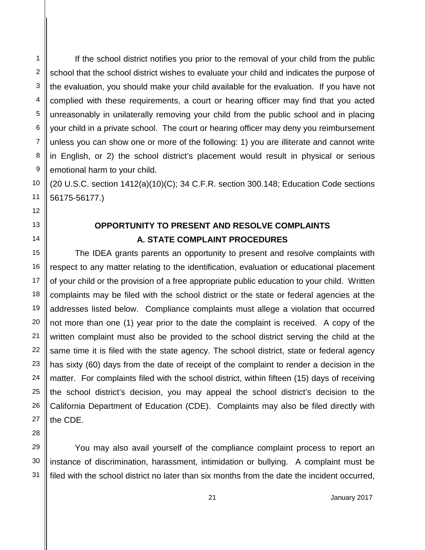If the school district notifies you prior to the removal of your child from the public school that the school district wishes to evaluate your child and indicates the purpose of the evaluation, you should make your child available for the evaluation. If you have not complied with these requirements, a court or hearing officer may find that you acted unreasonably in unilaterally removing your child from the public school and in placing your child in a private school. The court or hearing officer may deny you reimbursement unless you can show one or more of the following: 1) you are illiterate and cannot write in English, or 2) the school district's placement would result in physical or serious emotional harm to your child.

(20 U.S.C. section 1412(a)(10)(C); 34 C.F.R. section 300.148; Education Code sections 56175-56177.)

## **OPPORTUNITY TO PRESENT AND RESOLVE COMPLAINTS A. STATE COMPLAINT PROCEDURES**

The IDEA grants parents an opportunity to present and resolve complaints with respect to any matter relating to the identification, evaluation or educational placement of your child or the provision of a free appropriate public education to your child. Written complaints may be filed with the school district or the state or federal agencies at the addresses listed below. Compliance complaints must allege a violation that occurred not more than one (1) year prior to the date the complaint is received. A copy of the written complaint must also be provided to the school district serving the child at the same time it is filed with the state agency. The school district, state or federal agency has sixty (60) days from the date of receipt of the complaint to render a decision in the matter. For complaints filed with the school district, within fifteen (15) days of receiving the school district's decision, you may appeal the school district's decision to the California Department of Education (CDE). Complaints may also be filed directly with the CDE.

You may also avail yourself of the compliance complaint process to report an instance of discrimination, harassment, intimidation or bullying. A complaint must be filed with the school district no later than six months from the date the incident occurred,

1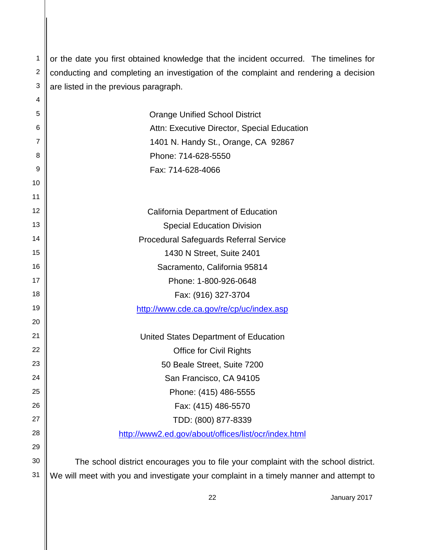2 3 or the date you first obtained knowledge that the incident occurred. The timelines for conducting and completing an investigation of the complaint and rendering a decision are listed in the previous paragraph.

1

4

31

| 5  | <b>Orange Unified School District</b>                                               |
|----|-------------------------------------------------------------------------------------|
| 6  | Attn: Executive Director, Special Education                                         |
| 7  | 1401 N. Handy St., Orange, CA 92867                                                 |
| 8  | Phone: 714-628-5550                                                                 |
| 9  | Fax: 714-628-4066                                                                   |
| 10 |                                                                                     |
| 11 |                                                                                     |
| 12 | California Department of Education                                                  |
| 13 | <b>Special Education Division</b>                                                   |
| 14 | <b>Procedural Safeguards Referral Service</b>                                       |
| 15 | 1430 N Street, Suite 2401                                                           |
| 16 | Sacramento, California 95814                                                        |
| 17 | Phone: 1-800-926-0648                                                               |
| 18 | Fax: (916) 327-3704                                                                 |
| 19 | http://www.cde.ca.gov/re/cp/uc/index.asp                                            |
| 20 |                                                                                     |
| 21 | United States Department of Education                                               |
| 22 | <b>Office for Civil Rights</b>                                                      |
| 23 | 50 Beale Street, Suite 7200                                                         |
| 24 | San Francisco, CA 94105                                                             |
| 25 | Phone: (415) 486-5555                                                               |
| 26 | Fax: (415) 486-5570                                                                 |
| 27 | TDD: (800) 877-8339                                                                 |
| 28 | http://www2.ed.gov/about/offices/list/ocr/index.html                                |
| 29 |                                                                                     |
| 30 | The school district encourages you to file your complaint with the school district. |

We will meet with you and investigate your complaint in a timely manner and attempt to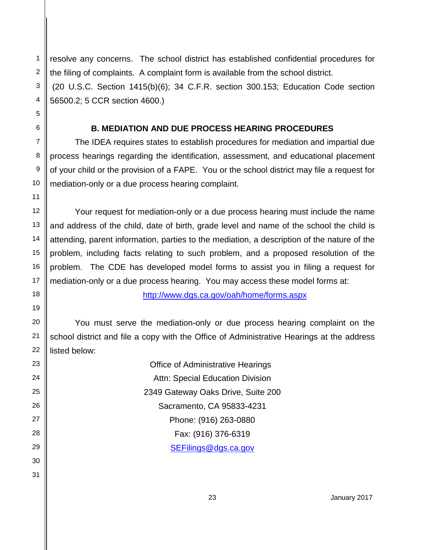resolve any concerns. The school district has established confidential procedures for the filing of complaints. A complaint form is available from the school district. (20 U.S.C. Section 1415(b)(6); 34 C.F.R. section 300.153; Education Code section 56500.2; 5 CCR section 4600.)

### **B. MEDIATION AND DUE PROCESS HEARING PROCEDURES**

The IDEA requires states to establish procedures for mediation and impartial due process hearings regarding the identification, assessment, and educational placement of your child or the provision of a FAPE. You or the school district may file a request for mediation-only or a due process hearing complaint.

Your request for mediation-only or a due process hearing must include the name and address of the child, date of birth, grade level and name of the school the child is attending, parent information, parties to the mediation, a description of the nature of the problem, including facts relating to such problem, and a proposed resolution of the problem. The CDE has developed model forms to assist you in filing a request for mediation-only or a due process hearing. You may access these model forms at:

<http://www.dgs.ca.gov/oah/home/forms.aspx>

You must serve the mediation-only or due process hearing complaint on the school district and file a copy with the Office of Administrative Hearings at the address listed below:

| Office of Administrative Hearings       |
|-----------------------------------------|
| <b>Attn: Special Education Division</b> |
| 2349 Gateway Oaks Drive, Suite 200      |
| Sacramento, CA 95833-4231               |
| Phone: (916) 263-0880                   |
| Fax: (916) 376-6319                     |
| SEFilings@dgs.ca.gov                    |

30

1 2 3

4 5 6

7

8 9

10 11 12

13 14 15

16

17 18

23 24 25

26 27 28

29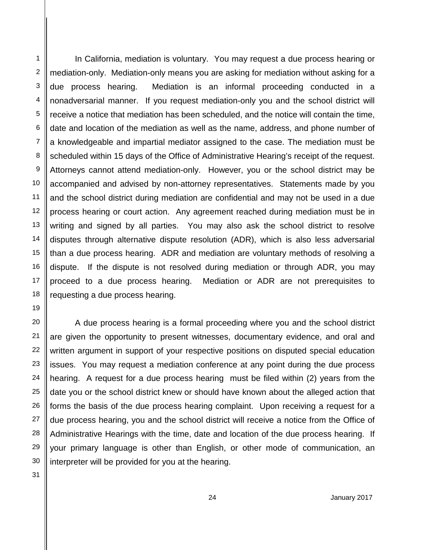1 2 3 4 5 6 7 8 9 10 11 12 13 14 15 16 17 18 19 20 21 22 23 24 25 26 27 28 29 In California, mediation is voluntary. You may request a due process hearing or mediation-only. Mediation-only means you are asking for mediation without asking for a due process hearing. Mediation is an informal proceeding conducted in a nonadversarial manner. If you request mediation-only you and the school district will receive a notice that mediation has been scheduled, and the notice will contain the time, date and location of the mediation as well as the name, address, and phone number of a knowledgeable and impartial mediator assigned to the case. The mediation must be scheduled within 15 days of the Office of Administrative Hearing's receipt of the request. Attorneys cannot attend mediation-only. However, you or the school district may be accompanied and advised by non-attorney representatives. Statements made by you and the school district during mediation are confidential and may not be used in a due process hearing or court action. Any agreement reached during mediation must be in writing and signed by all parties. You may also ask the school district to resolve disputes through alternative dispute resolution (ADR), which is also less adversarial than a due process hearing. ADR and mediation are voluntary methods of resolving a dispute. If the dispute is not resolved during mediation or through ADR, you may proceed to a due process hearing. Mediation or ADR are not prerequisites to requesting a due process hearing. A due process hearing is a formal proceeding where you and the school district are given the opportunity to present witnesses, documentary evidence, and oral and written argument in support of your respective positions on disputed special education issues. You may request a mediation conference at any point during the due process hearing. A request for a due process hearing must be filed within (2) years from the date you or the school district knew or should have known about the alleged action that forms the basis of the due process hearing complaint. Upon receiving a request for a due process hearing, you and the school district will receive a notice from the Office of Administrative Hearings with the time, date and location of the due process hearing. If your primary language is other than English, or other mode of communication, an

30 31 interpreter will be provided for you at the hearing.

24 January 2017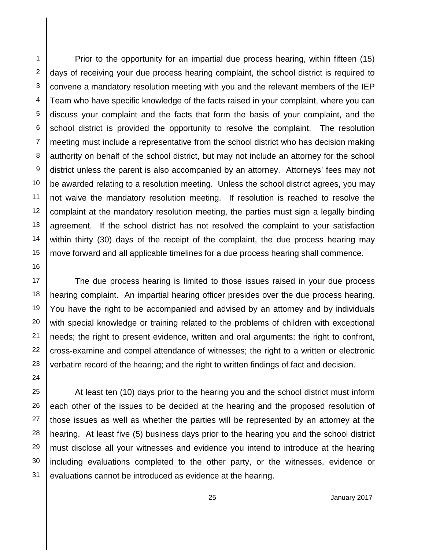Prior to the opportunity for an impartial due process hearing, within fifteen (15) days of receiving your due process hearing complaint, the school district is required to convene a mandatory resolution meeting with you and the relevant members of the IEP Team who have specific knowledge of the facts raised in your complaint, where you can discuss your complaint and the facts that form the basis of your complaint, and the school district is provided the opportunity to resolve the complaint. The resolution meeting must include a representative from the school district who has decision making authority on behalf of the school district, but may not include an attorney for the school district unless the parent is also accompanied by an attorney. Attorneys' fees may not be awarded relating to a resolution meeting. Unless the school district agrees, you may not waive the mandatory resolution meeting. If resolution is reached to resolve the complaint at the mandatory resolution meeting, the parties must sign a legally binding agreement. If the school district has not resolved the complaint to your satisfaction within thirty (30) days of the receipt of the complaint, the due process hearing may move forward and all applicable timelines for a due process hearing shall commence.

The due process hearing is limited to those issues raised in your due process hearing complaint. An impartial hearing officer presides over the due process hearing. You have the right to be accompanied and advised by an attorney and by individuals with special knowledge or training related to the problems of children with exceptional needs; the right to present evidence, written and oral arguments; the right to confront, cross-examine and compel attendance of witnesses; the right to a written or electronic verbatim record of the hearing; and the right to written findings of fact and decision.

At least ten (10) days prior to the hearing you and the school district must inform each other of the issues to be decided at the hearing and the proposed resolution of those issues as well as whether the parties will be represented by an attorney at the hearing. At least five (5) business days prior to the hearing you and the school district must disclose all your witnesses and evidence you intend to introduce at the hearing including evaluations completed to the other party, or the witnesses, evidence or evaluations cannot be introduced as evidence at the hearing.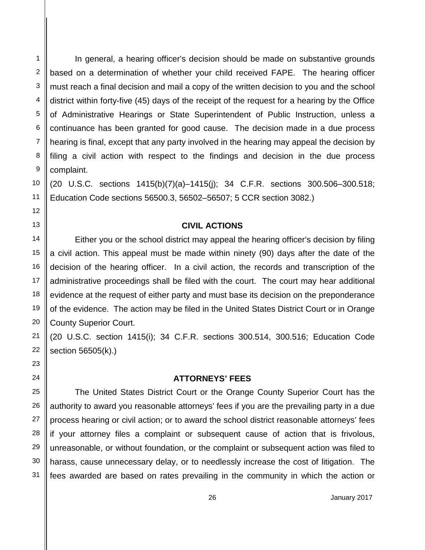In general, a hearing officer's decision should be made on substantive grounds based on a determination of whether your child received FAPE. The hearing officer must reach a final decision and mail a copy of the written decision to you and the school district within forty-five (45) days of the receipt of the request for a hearing by the Office of Administrative Hearings or State Superintendent of Public Instruction, unless a continuance has been granted for good cause. The decision made in a due process hearing is final, except that any party involved in the hearing may appeal the decision by filing a civil action with respect to the findings and decision in the due process complaint.

(20 U.S.C. sections 1415(b)(7)(a)–1415(j); 34 C.F.R. sections 300.506–300.518; Education Code sections 56500.3, 56502–56507; 5 CCR section 3082.)

#### **CIVIL ACTIONS**

Either you or the school district may appeal the hearing officer's decision by filing a civil action. This appeal must be made within ninety (90) days after the date of the decision of the hearing officer. In a civil action, the records and transcription of the administrative proceedings shall be filed with the court. The court may hear additional evidence at the request of either party and must base its decision on the preponderance of the evidence. The action may be filed in the United States District Court or in Orange County Superior Court.

(20 U.S.C. section 1415(i); 34 C.F.R. sections 300.514, 300.516; Education Code section 56505(k).)

### **ATTORNEYS' FEES**

The United States District Court or the Orange County Superior Court has the authority to award you reasonable attorneys' fees if you are the prevailing party in a due process hearing or civil action; or to award the school district reasonable attorneys' fees if your attorney files a complaint or subsequent cause of action that is frivolous, unreasonable, or without foundation, or the complaint or subsequent action was filed to harass, cause unnecessary delay, or to needlessly increase the cost of litigation. The fees awarded are based on rates prevailing in the community in which the action or